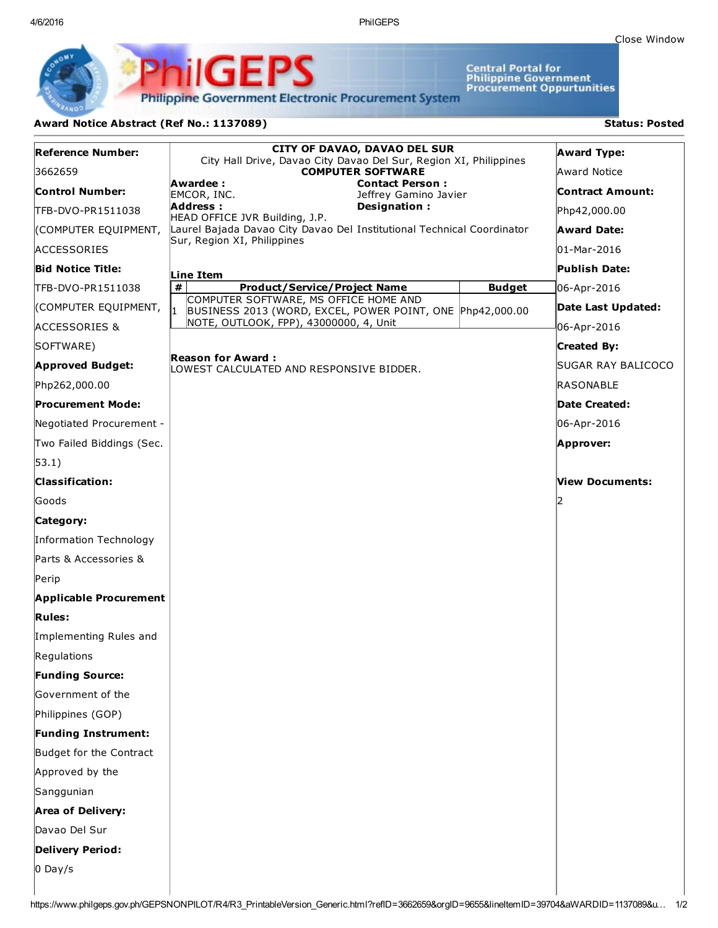4/6/2016 PhilGEPS

Central Portal for<br>Philippine Government<br>Procurement Oppurtunities

**Philippine Government Electronic Procurement System** 

PS

iliGEI

## Award Notice Abstract (Ref No.: 1137089) Status: Posted

Ph

| Reference Number:             | <b>CITY OF DAVAO, DAVAO DEL SUR</b><br>City Hall Drive, Davao City Davao Del Sur, Region XI, Philippines |               | <b>Award Type:</b>      |
|-------------------------------|----------------------------------------------------------------------------------------------------------|---------------|-------------------------|
| 3662659                       | <b>COMPUTER SOFTWARE</b>                                                                                 |               | Award Notice            |
| Control Number:               | Awardee:<br><b>Contact Person:</b><br>EMCOR, INC.<br>Jeffrey Gamino Javier                               |               | <b>Contract Amount:</b> |
| TFB-DVO-PR1511038             | Designation:<br>Address :<br>HEAD OFFICE JVR Building, J.P.                                              |               | Php42,000.00            |
| (COMPUTER EQUIPMENT,          | Laurel Bajada Davao City Davao Del Institutional Technical Coordinator                                   |               | <b>Award Date:</b>      |
| <b>ACCESSORIES</b>            | Sur, Region XI, Philippines                                                                              |               | 01-Mar-2016             |
| <b>Bid Notice Title:</b>      | Line Item                                                                                                |               | Publish Date:           |
| TFB-DVO-PR1511038             | #<br><b>Product/Service/Project Name</b>                                                                 | <b>Budget</b> | 06-Apr-2016             |
| (COMPUTER EQUIPMENT,          | COMPUTER SOFTWARE, MS OFFICE HOME AND<br>BUSINESS 2013 (WORD, EXCEL, POWER POINT, ONE Php42,000.00       |               | Date Last Updated:      |
| <b>ACCESSORIES &amp;</b>      | NOTE, OUTLOOK, FPP), 43000000, 4, Unit                                                                   |               | 06-Apr-2016             |
| SOFTWARE)                     |                                                                                                          |               | <b>Created By:</b>      |
| <b>Approved Budget:</b>       | Reason for Award :<br>LOWEST CALCULATED AND RESPONSIVE BIDDER.                                           |               | SUGAR RAY BALICOCO      |
| Php262,000.00                 |                                                                                                          |               | RASONABLE               |
| <b>Procurement Mode:</b>      |                                                                                                          |               | <b>Date Created:</b>    |
| Negotiated Procurement -      |                                                                                                          |               | 06-Apr-2016             |
| Two Failed Biddings (Sec.     |                                                                                                          |               | Approver:               |
| $ 53.1\rangle$                |                                                                                                          |               |                         |
| <b>Classification:</b>        |                                                                                                          |               | View Documents:         |
| Goods                         |                                                                                                          |               |                         |
| Category:                     |                                                                                                          |               |                         |
| Information Technology        |                                                                                                          |               |                         |
| Parts & Accessories &         |                                                                                                          |               |                         |
| Perip                         |                                                                                                          |               |                         |
| <b>Applicable Procurement</b> |                                                                                                          |               |                         |
| <b>Rules:</b>                 |                                                                                                          |               |                         |
| Implementing Rules and        |                                                                                                          |               |                         |
| Regulations                   |                                                                                                          |               |                         |
| <b>Funding Source:</b>        |                                                                                                          |               |                         |
| Government of the             |                                                                                                          |               |                         |
| Philippines (GOP)             |                                                                                                          |               |                         |
| <b>Funding Instrument:</b>    |                                                                                                          |               |                         |
| Budget for the Contract       |                                                                                                          |               |                         |
| Approved by the               |                                                                                                          |               |                         |
| Sanggunian                    |                                                                                                          |               |                         |
| <b>Area of Delivery:</b>      |                                                                                                          |               |                         |
| Davao Del Sur                 |                                                                                                          |               |                         |
| <b>Delivery Period:</b>       |                                                                                                          |               |                         |
| $0$ Day/s                     |                                                                                                          |               |                         |
|                               |                                                                                                          |               |                         |